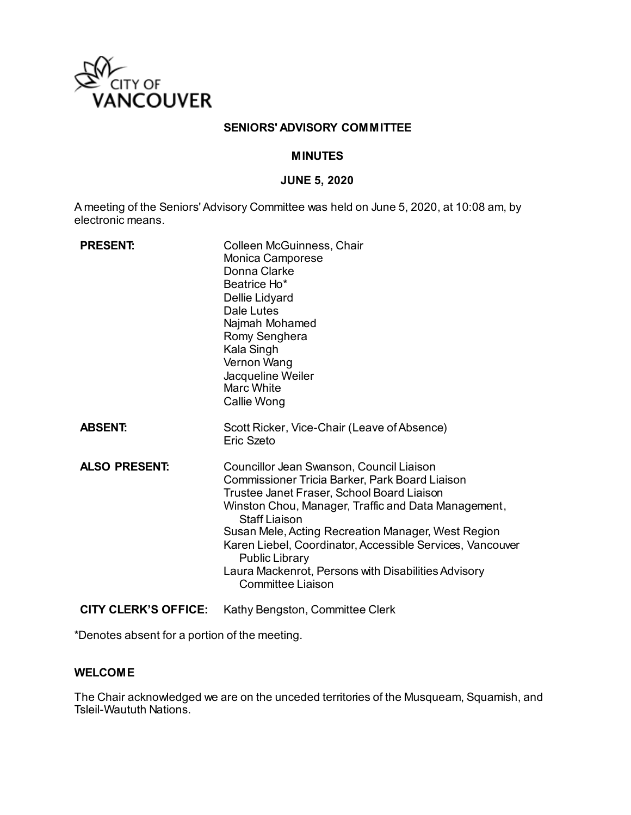

### **SENIORS' ADVISORY COMMITTEE**

### **MINUTES**

#### **JUNE 5, 2020**

A meeting of the Seniors' Advisory Committee was held on June 5, 2020, at 10:08 am, by electronic means.

| <b>PRESENT:</b>             | Colleen McGuinness, Chair<br>Monica Camporese<br>Donna Clarke<br>Beatrice Ho*<br>Dellie Lidyard<br>Dale Lutes<br>Najmah Mohamed<br>Romy Senghera<br>Kala Singh<br>Vernon Wang<br>Jacqueline Weiler<br>Marc White<br>Callie Wong                                                                                                                                                                                                                        |
|-----------------------------|--------------------------------------------------------------------------------------------------------------------------------------------------------------------------------------------------------------------------------------------------------------------------------------------------------------------------------------------------------------------------------------------------------------------------------------------------------|
| <b>ABSENT:</b>              | Scott Ricker, Vice-Chair (Leave of Absence)<br>Fric Szeto                                                                                                                                                                                                                                                                                                                                                                                              |
| <b>ALSO PRESENT:</b>        | Councillor Jean Swanson, Council Liaison<br>Commissioner Tricia Barker, Park Board Liaison<br>Trustee Janet Fraser, School Board Liaison<br>Winston Chou, Manager, Traffic and Data Management,<br><b>Staff Liaison</b><br>Susan Mele, Acting Recreation Manager, West Region<br>Karen Liebel, Coordinator, Accessible Services, Vancouver<br><b>Public Library</b><br>Laura Mackenrot, Persons with Disabilities Advisory<br><b>Committee Liaison</b> |
| <b>CITY CLERK'S OFFICE:</b> | Kathy Bengston, Committee Clerk                                                                                                                                                                                                                                                                                                                                                                                                                        |

\*Denotes absent for a portion of the meeting.

### **WELCOME**

The Chair acknowledged we are on the unceded territories of the Musqueam, Squamish, and Tsleil-Waututh Nations.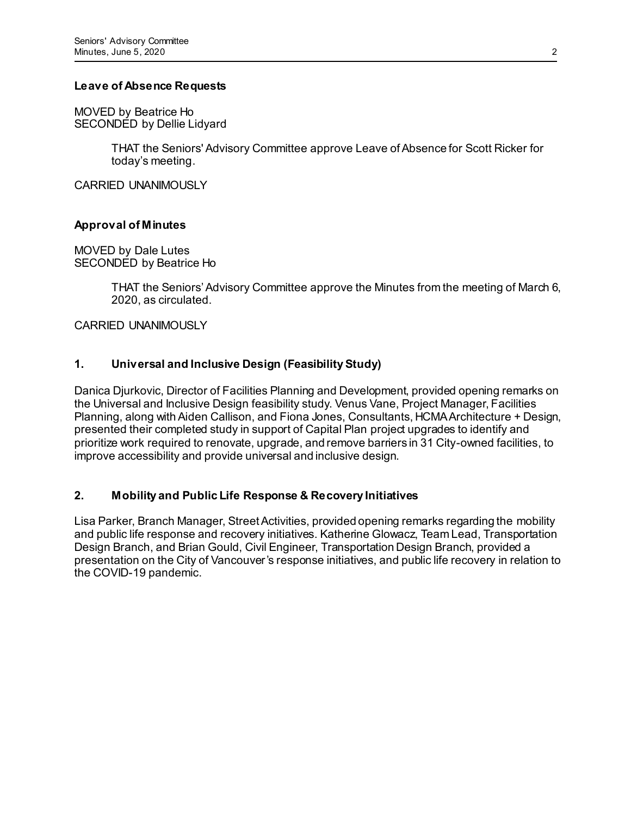### **Leave of Absence Requests**

MOVED by Beatrice Ho SECONDED by Dellie Lidyard

> THAT the Seniors' Advisory Committee approve Leave of Absence for Scott Ricker for today's meeting.

CARRIED UNANIMOUSLY

## **Approval of Minutes**

MOVED by Dale Lutes SECONDED by Beatrice Ho

> THAT the Seniors' Advisory Committee approve the Minutes from the meeting of March 6, 2020, as circulated.

CARRIED UNANIMOUSLY

## **1. Universal and Inclusive Design (Feasibility Study)**

Danica Djurkovic, Director of Facilities Planning and Development, provided opening remarks on the Universal and Inclusive Design feasibility study. Venus Vane, Project Manager, Facilities Planning, along with Aiden Callison, and Fiona Jones, Consultants, HCMA Architecture + Design, presented their completed study in support of Capital Plan project upgrades to identify and prioritize work required to renovate, upgrade, and remove barriers in 31 City-owned facilities, to improve accessibility and provide universal and inclusive design.

## **2. Mobility and Public Life Response & Recovery Initiatives**

Lisa Parker, Branch Manager, Street Activities, provided opening remarks regarding the mobility and public life response and recovery initiatives. Katherine Glowacz, Team Lead, Transportation Design Branch, and Brian Gould, Civil Engineer, Transportation Design Branch, provided a presentation on the City of Vancouver's response initiatives, and public life recovery in relation to the COVID-19 pandemic.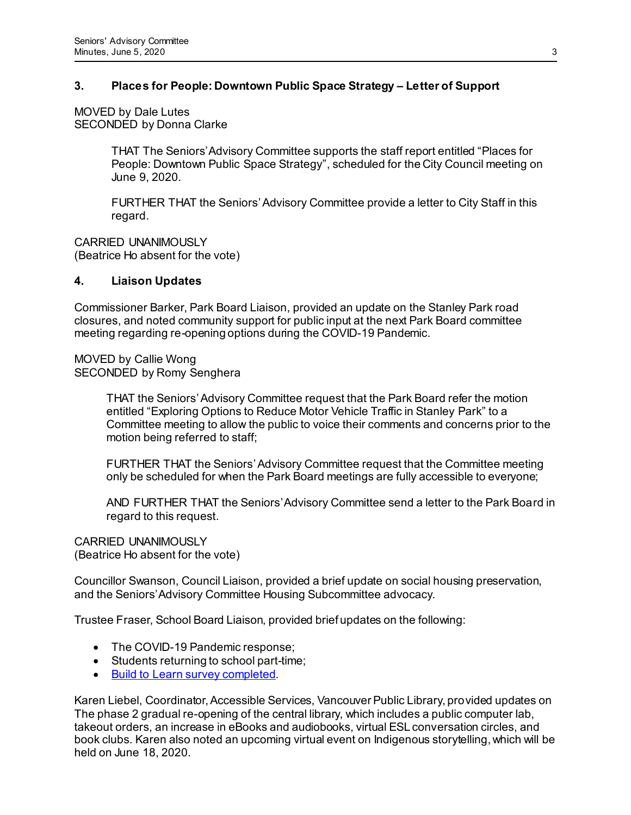## **3. Places for People: Downtown Public Space Strategy – Letter of Support**

MOVED by Dale Lutes SECONDED by Donna Clarke

> THAT The Seniors' Advisory Committee supports the staff report entitled "Places for People: Downtown Public Space Strategy", scheduled for the City Council meeting on June 9, 2020.

FURTHER THAT the Seniors' Advisory Committee provide a letter to City Staff in this regard.

CARRIED UNANIMOUSLY (Beatrice Ho absent for the vote)

### **4. Liaison Updates**

Commissioner Barker, Park Board Liaison, provided an update on the Stanley Park road closures, and noted community support for public input at the next Park Board committee meeting regarding re-opening options during the COVID-19 Pandemic.

MOVED by Callie Wong SECONDED by Romy Senghera

> THAT the Seniors' Advisory Committee request that the Park Board refer the motion entitled "Exploring Options to Reduce Motor Vehicle Traffic in Stanley Park" to a Committee meeting to allow the public to voice their comments and concerns prior to the motion being referred to staff;

FURTHER THAT the Seniors' Advisory Committee request that the Committee meeting only be scheduled for when the Park Board meetings are fully accessible to everyone;

AND FURTHER THAT the Seniors' Advisory Committee send a letter to the Park Board in regard to this request.

CARRIED UNANIMOUSLY (Beatrice Ho absent for the vote)

Councillor Swanson, Council Liaison, provided a brief update on social housing preservation, and the Seniors' Advisory Committee Housing Subcommittee advocacy.

Trustee Fraser, School Board Liaison, provided brief updates on the following:

- The COVID-19 Pandemic response;
- Students returning to school part-time;
- [Build to Learn survey completed](https://urldefense.com/v3/__https:/www.vsb.bc.ca/District/Board-of-Education/Build2Learn/Documents/sbfile/200615/Spur*20Communication*20-*20VSB*20-*20Phase*20I*20Summary*20Report*20_1.pdf__;JSUlJSUlJSUl!!G4oVokrRG-Im!9GOG9QPDvsAzStDC3pUCgEx49c31MRUJ74_xtRnOJYfSgCVTZqMSxi096bMN-2gJrf3D2FY$).

Karen Liebel, Coordinator, Accessible Services, Vancouver Public Library, provided updates on The phase 2 gradual re-opening of the central library, which includes a public computer lab, takeout orders, an increase in eBooks and audiobooks, virtual ESL conversation circles, and book clubs. Karen also noted an upcoming virtual event on Indigenous storytelling, which will be held on June 18, 2020.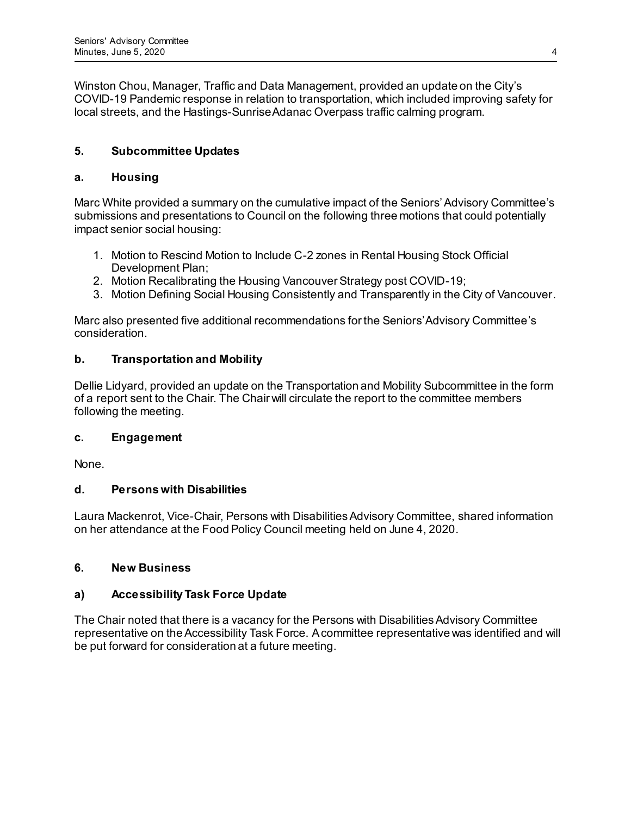Winston Chou, Manager, Traffic and Data Management, provided an update on the City's COVID-19 Pandemic response in relation to transportation, which included improving safety for local streets, and the Hastings-Sunrise Adanac Overpass traffic calming program.

# **5. Subcommittee Updates**

# **a. Housing**

Marc White provided a summary on the cumulative impact of the Seniors' Advisory Committee's submissions and presentations to Council on the following three motions that could potentially impact senior social housing:

- 1. Motion to Rescind Motion to Include C-2 zones in Rental Housing Stock Official Development Plan;
- 2. Motion Recalibrating the Housing Vancouver Strategy post COVID-19;
- 3. Motion Defining Social Housing Consistently and Transparently in the City of Vancouver.

Marc also presented five additional recommendations for the Seniors' Advisory Committee's consideration.

# **b. Transportation and Mobility**

Dellie Lidyard, provided an update on the Transportation and Mobility Subcommittee in the form of a report sent to the Chair. The Chair will circulate the report to the committee members following the meeting.

## **c. Engagement**

None.

# **d. Persons with Disabilities**

Laura Mackenrot, Vice-Chair, Persons with Disabilities Advisory Committee, shared information on her attendance at the Food Policy Council meeting held on June 4, 2020.

# **6. New Business**

# **a) Accessibility Task Force Update**

The Chair noted that there is a vacancy for the Persons with Disabilities Advisory Committee representative on the Accessibility Task Force. A committee representative was identified and will be put forward for consideration at a future meeting.